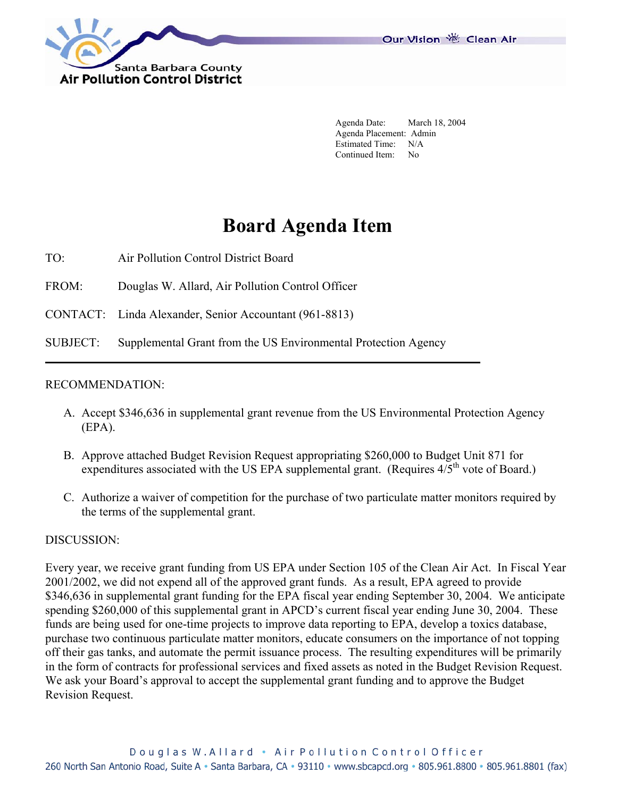

Our Vision 卷 Clean Air

 Agenda Date: March 18, 2004 Agenda Placement: Admin Estimated Time: N/A Continued Item: No

## **Board Agenda Item**

TO: Air Pollution Control District Board

**Air Pollution Control District** 

FROM: Douglas W. Allard, Air Pollution Control Officer

CONTACT: Linda Alexander, Senior Accountant (961-8813)

SUBJECT: Supplemental Grant from the US Environmental Protection Agency

## RECOMMENDATION:

- A. Accept \$346,636 in supplemental grant revenue from the US Environmental Protection Agency (EPA).
- B. Approve attached Budget Revision Request appropriating \$260,000 to Budget Unit 871 for expenditures associated with the US EPA supplemental grant. (Requires  $4/5^{th}$  vote of Board.)
- C. Authorize a waiver of competition for the purchase of two particulate matter monitors required by the terms of the supplemental grant.

## DISCUSSION:

Every year, we receive grant funding from US EPA under Section 105 of the Clean Air Act. In Fiscal Year 2001/2002, we did not expend all of the approved grant funds. As a result, EPA agreed to provide \$346,636 in supplemental grant funding for the EPA fiscal year ending September 30, 2004. We anticipate spending \$260,000 of this supplemental grant in APCD's current fiscal year ending June 30, 2004. These funds are being used for one-time projects to improve data reporting to EPA, develop a toxics database, purchase two continuous particulate matter monitors, educate consumers on the importance of not topping off their gas tanks, and automate the permit issuance process. The resulting expenditures will be primarily in the form of contracts for professional services and fixed assets as noted in the Budget Revision Request. We ask your Board's approval to accept the supplemental grant funding and to approve the Budget Revision Request.